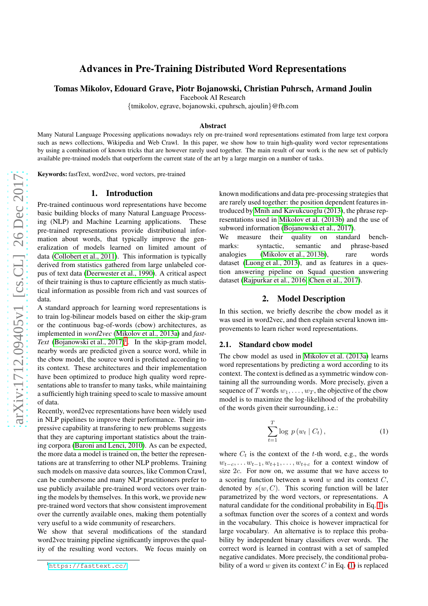# Advances in Pre-Training Distributed Word Representation s

Tomas Mikolov, Edouard Grave, Piotr Bojanowski, Christian Puhrsch, Armand Joulin

Facebook AI Research

{tmikolov, egrave, bojanowski, cpuhrsch, ajoulin }@fb.com

#### Abstract

Many Natural Language Processing applications nowadays rely on pre-trained word representations estimated from large text corpora such as news collections, Wikipedia and Web Crawl. In this paper, we show how to train high-quality word vector representations by using a combination of known tricks that are however rarely used together. The main result of our work is the new set of publicly available pre-trained models that outperform the current state of the art by a large margin on a number of tasks.

Keywords: fastText, word2vec, word vectors, pre-trained

#### 1. Introduction

Pre-trained continuous word representations have become basic building blocks of many Natural Language Processing (NLP) and Machine Learning applications. These pre-trained representations provide distributional information about words, that typically improve the generalization of models learned on limited amount of data [\(Collobert et al., 2011\)](#page-3-0). This information is typicall y derived from statistics gathered from large unlabeled corpus of text data [\(Deerwester et al., 1990\)](#page-3-1). A critical aspect of their training is thus to capture efficiently as much statistical information as possible from rich and vast sources of data.

A standard approach for learning word representations is to train log-bilinear models based on either the skip-gram or the continuous bag-of-words (cbow) architectures, as implemented in *word2vec* [\(Mikolov et al., 2013a\)](#page-3-2) and *fast-*Text (Bojanowski et al.,  $2017$  $2017$  $2017$ )<sup>1</sup>. In the skip-gram model, nearby words are predicted given a source word, while in the cbow model, the source word is predicted according to its context. These architectures and their implementation have been optimized to produce high quality word representations able to transfer to many tasks, while maintaining a sufficiently high training speed to scale to massive amount of data.

Recently, word2vec representations have been widely used in NLP pipelines to improve their performance. Their impressive capability at transfering to new problems suggests that they are capturing important statistics about the training corpora [\(Baroni and Lenci, 2010\)](#page-3-4). As can be expected, the more data a model is trained on, the better the representations are at transferring to other NLP problems. Training such models on massive data sources, like Common Crawl, can be cumbersome and many NLP practitioners prefer to use publicly available pre-trained word vectors over train ing the models by themselves. In this work, we provide new pre-trained word vectors that show consistent improvement over the currently available ones, making them potentially very useful to a wide community of researchers.

We show that several modifications of the standard word2vec training pipeline significantly improves the qual ity of the resulting word vectors. We focus mainly on

known modifications and data pre-processing strategies tha t are rarely used together: the position dependent features introduced by [Mnih and Kavukcuoglu \(2013\)](#page-3-5), the phrase representations used in [Mikolov et al. \(2013b\)](#page-3-6) and the use of subword information [\(Bojanowski et al., 2017\)](#page-3-3).

We measure their quality on standard benchmarks: syntactic, semantic and phrase-based analogies [\(Mikolov et al., 2013b\)](#page-3-6), rare words dataset [\(Luong et al., 2013\)](#page-3-7), and as features in a question answering pipeline on Squad question answering dataset [\(Rajpurkar et al., 2016;](#page-3-8) [Chen et al., 2017\)](#page-3-9).

## 2. Model Description

In this section, we briefly describe the cbow model as it was used in word2vec, and then explain several known improvements to learn richer word representations.

#### <span id="page-0-2"></span>2.1. Standard cbow model

The cbow model as used in [Mikolov et al. \(2013a\)](#page-3-2) learns word representations by predicting a word according to its context. The context is defined as a symmetric window containing all the surrounding words. More precisely, given a sequence of  $T$  words  $w_1, \ldots, w_T$ , the objective of the cbow model is to maximize the log-likelihood of the probability of the words given their surrounding, i.e.:

<span id="page-0-1"></span>
$$
\sum_{t=1}^{T} \log p(w_t | C_t), \qquad (1)
$$

where  $C_t$  is the context of the t-th word, e.g., the words  $w_{t-c}, \ldots w_{t-1}, w_{t+1}, \ldots, w_{t+c}$  for a context window of size  $2c$ . For now on, we assume that we have access to a scoring function between a word  $w$  and its context  $C$ , denoted by  $s(w, C)$ . This scoring function will be later parametrized by the word vectors, or representations. A natural candidate for the conditional probability in Eq. [1](#page-0-1) i s a softmax function over the scores of a context and words in the vocabulary. This choice is however impractical for large vocabulary. An alternative is to replace this probability by independent binary classifiers over words. The correct word is learned in contrast with a set of sampled negative candidates. More precisely, the conditional probability of a word w given its context  $C$  in Eq. [\(1\)](#page-0-1) is replaced

<span id="page-0-0"></span><sup>1</sup><https://fasttext.cc/>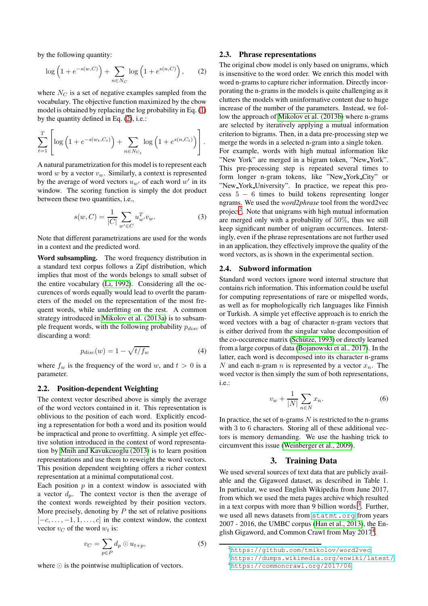by the following quantity:

<span id="page-1-0"></span>
$$
\log\left(1 + e^{-s(w,C)}\right) + \sum_{n \in N_C} \log\left(1 + e^{s(n,C)}\right),\qquad(2)
$$

where  $N_C$  is a set of negative examples sampled from the vocabulary. The objective function maximized by the cbow model is obtained by replacing the log probability in Eq. [\(1\)](#page-0-1) by the quantity defined in Eq. [\(2\)](#page-1-0), i.e.:

$$
\sum_{t=1}^{T} \left[ \log \left( 1 + e^{-s(w_t, C_t)} \right) + \sum_{n \in N_{C_t}} \log \left( 1 + e^{s(n, C_t)} \right) \right].
$$

A natural parametrization for this model is to represent each word w by a vector  $v_w$ . Similarly, a context is represented by the average of word vectors  $u_{w'}$  of each word  $w'$  in its window. The scoring function is simply the dot product between these two quantities, i.e.,

$$
s(w, C) = \frac{1}{|C|} \sum_{w' \in C} u_{w'}^T v_w.
$$
 (3)

Note that different parametrizations are used for the words in a context and the predicted word.

Word subsampling. The word frequency distribution in a standard text corpus follows a Zipf distribution, which implies that most of the words belongs to small subset of the entire vocabulary [\(Li, 1992\)](#page-3-10). Considering all the occurences of words equally would lead to overfit the parameters of the model on the representation of the most frequent words, while underfitting on the rest. A common strategy introduced in [Mikolov et al. \(2013a\)](#page-3-2) is to subsample frequent words, with the following probability  $p_{disc}$  of discarding a word:

$$
p_{disc}(w) = 1 - \sqrt{t/f_w} \tag{4}
$$

where  $f_w$  is the frequency of the word w, and  $t > 0$  is a parameter.

# <span id="page-1-4"></span>2.2. Position-dependent Weighting

The context vector described above is simply the average of the word vectors contained in it. This representation is oblivious to the position of each word. Explicitly encoding a representation for both a word and its position would be impractical and prone to overfitting. A simple yet effective solution introduced in the context of word representation by [Mnih and Kavukcuoglu \(2013\)](#page-3-5) is to learn position representations and use them to reweight the word vectors. This position dependent weighting offers a richer context representation at a minimal computational cost.

Each position  $p$  in a context window is associated with a vector  $d_p$ . The context vector is then the average of the context words reweighted by their position vectors. More precisely, denoting by  $P$  the set of relative positions  $[-c, \ldots, -1, 1, \ldots, c]$  in the context window, the context vector  $v_C$  of the word  $w_t$  is:

$$
v_C = \sum_{p \in P} d_p \odot u_{t+p},\tag{5}
$$

where ⊙ is the pointwise multiplication of vectors.

### 2.3. Phrase representations

The original cbow model is only based on unigrams, which is insensitive to the word order. We enrich this model with word n-grams to capture richer information. Directly incorporating the n-grams in the models is quite challenging as it clutters the models with uninformative content due to huge increase of the number of the parameters. Instead, we follow the approach of [Mikolov et al. \(2013b\)](#page-3-6) where n-grams are selected by iteratively applying a mutual information criterion to bigrams. Then, in a data pre-processing step we merge the words in a selected n-gram into a single token.

For example, words with high mutual information like "New York" are merged in a bigram token, "New York". This pre-processing step is repeated several times to form longer n-gram tokens, like "New York City" or "New York University". In practice, we repeat this pro- $\csc 5 - 6$  times to build tokens representing longer ngrams. We used the *word2phrase* tool from the word2vec project<sup>[2](#page-1-1)</sup>. Note that unigrams with high mutual information are merged only with a probability of 50%, thus we still keep significant number of unigram occurrences. Interstingly, even if the phrase representations are not further used in an application, they effectively improve the quality of the word vectors, as is shown in the experimental section.

#### 2.4. Subword information

Standard word vectors ignore word internal structure that contains rich information. This information could be useful for computing representations of rare or mispelled words, as well as for mophologically rich languages like Finnish or Turkish. A simple yet effective approach is to enrich the word vectors with a bag of character n-gram vectors that is either derived from the singular value decomposition of the co-occurence matrix (Schütze, 1993) or directly learned from a large corpus of data [\(Bojanowski et al., 2017\)](#page-3-3). In the latter, each word is decomposed into its character n-grams N and each n-gram  $n$  is represented by a vector  $x_n$ . The word vector is then simply the sum of both representations, i.e.:

$$
v_w + \frac{1}{|N|} \sum_{n \in N} x_n.
$$
 (6)

In practice, the set of n-grams  $N$  is restricted to the n-grams with 3 to 6 characters. Storing all of these additional vectors is memory demanding. We use the hashing trick to circumvent this issue [\(Weinberger et al., 2009\)](#page-3-12).

# 3. Training Data

We used several sources of text data that are publicly available and the Gigaword dataset, as described in Table 1. In particular, we used English Wikipedia from June 2017, from which we used the meta pages archive which resulted in a text corpus with more than 9 billion words  $3$ . Further, we used all news datasets from <statmt.org> from years 2007 - 2016, the UMBC corpus [\(Han et al., 2013\)](#page-3-13), the En-glish Gigaword, and Common Crawl from May 2017<sup>[4](#page-1-3)</sup>.

<sup>2</sup><https://github.com/tmikolov/word2vec>

<span id="page-1-1"></span><sup>3</sup><https://dumps.wikimedia.org/enwiki/latest/>

<span id="page-1-3"></span><span id="page-1-2"></span><sup>4</sup><https://commoncrawl.org/2017/06>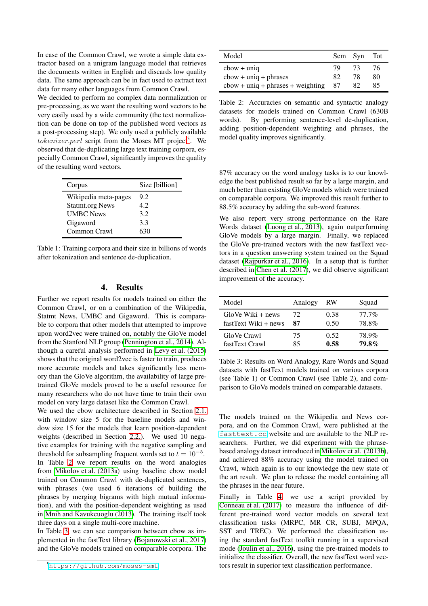In case of the Common Crawl, we wrote a simple data extractor based on a unigram language model that retrieves the documents written in English and discards low quality data. The same approach can be in fact used to extract text data for many other languages from Common Crawl.

We decided to perform no complex data normalization or pre-processing, as we want the resulting word vectors to be very easily used by a wide community (the text normalization can be done on top of the published word vectors as a post-processing step). We only used a publicly available  $tokenizer. perl$  script from the Moses MT project<sup>[5](#page-2-0)</sup>. We observed that de-duplicating large text training corpora, especially Common Crawl, significantly improves the quality of the resulting word vectors.

| Corpus                 | Size [billion] |  |  |  |  |
|------------------------|----------------|--|--|--|--|
| Wikipedia meta-pages   | 9.2            |  |  |  |  |
| <b>Statmt.org News</b> | 42             |  |  |  |  |
| <b>UMBC</b> News       | 3.2            |  |  |  |  |
| Gigaword               | 3.3            |  |  |  |  |
| Common Crawl           | 630            |  |  |  |  |

Table 1: Training corpora and their size in billions of words after tokenization and sentence de-duplication.

# 4. Results

Further we report results for models trained on either the Common Crawl, or on a combination of the Wikipedia, Statmt News, UMBC and Gigaword. This is comparable to corpora that other models that attempted to improve upon word2vec were trained on, notably the GloVe model from the Stanford NLP group [\(Pennington et al., 2014\)](#page-3-14). Although a careful analysis performed in [Levy et al. \(2015\)](#page-3-15) shows that the original word2vec is faster to train, produces more accurate models and takes significantly less memory than the GloVe algorithm, the availability of large pretrained GloVe models proved to be a useful resource for many researchers who do not have time to train their own model on very large dataset like the Common Crawl.

We used the cbow architecture described in Section [2.1.](#page-0-2) with window size 5 for the baseline models and window size 15 for the models that learn position-dependent weights (described in Section [2.2.\)](#page-1-4). We used 10 negative examples for training with the negative sampling and threshold for subsampling frequent words set to  $t = 10^{-5}$ . In Table [2](#page-2-1) we report results on the word analogies from [Mikolov et al. \(2013a\)](#page-3-2) using baseline cbow model trained on Common Crawl with de-duplicated sentences, with phrases (we used 6 iterations of building the phrases by merging bigrams with high mutual information), and with the position-dependent weighting as used in [Mnih and Kavukcuoglu \(2013\)](#page-3-5). The training itself took three days on a single multi-core machine.

In Table [3,](#page-2-2) we can see comparison between cbow as implemented in the fastText library [\(Bojanowski et al., 2017\)](#page-3-3) and the GloVe models trained on comparable corpora. The

| Model                                                             |     | Sem Syn Tot |    |
|-------------------------------------------------------------------|-----|-------------|----|
| $cbow + \text{uniq}$                                              | 79. | -73         | 76 |
| $cbow + \text{unique} + \text{phrases}$                           | 82  | 78          | 80 |
| $\text{cbow} + \text{unique} + \text{phrases} + \text{weighting}$ | -87 | 82          | 85 |

<span id="page-2-1"></span>Table 2: Accuracies on semantic and syntactic analogy datasets for models trained on Common Crawl (630B words). By performing sentence-level de-duplication, adding position-dependent weighting and phrases, the model quality improves significantly.

87% accuracy on the word analogy tasks is to our knowledge the best published result so far by a large margin, and much better than existing GloVe models which were trained on comparable corpora. We improved this result further to 88.5% accuracy by adding the sub-word features.

We also report very strong performance on the Rare Words dataset [\(Luong et al., 2013\)](#page-3-7), again outperforming GloVe models by a large margin. Finally, we replaced the GloVe pre-trained vectors with the new fastText vectors in a question answering system trained on the Squad dataset [\(Rajpurkar et al., 2016\)](#page-3-8). In a setup that is further described in [Chen et al. \(2017\)](#page-3-9), we did observe significant improvement of the accuracy.

| Model                | Analogy | RW   | Squad        |
|----------------------|---------|------|--------------|
| GloVe Wiki + news    | 72      | 0.38 | $77.7\%$     |
| fastText Wiki + news | 87      | 0.50 | 78.8%        |
| GloVe Crawl          | 75      | 0.52 | 78.9%        |
| fastText Crawl       | 85      | 0.58 | <b>79.8%</b> |

<span id="page-2-2"></span>Table 3: Results on Word Analogy, Rare Words and Squad datasets with fastText models trained on various corpora (see Table 1) or Common Crawl (see Table 2), and comparison to GloVe models trained on comparable datasets.

The models trained on the Wikipedia and News corpora, and on the Common Crawl, were published at the <fasttext.cc> website and are available to the NLP researchers. Further, we did experiment with the phrasebased analogy dataset introduced in [Mikolov et al. \(2013b\)](#page-3-6), and achieved 88% accuracy using the model trained on Crawl, which again is to our knowledge the new state of the art result. We plan to release the model containing all the phrases in the near future.

Finally in Table [4,](#page-3-16) we use a script provided by [Conneau et al. \(2017\)](#page-3-17) to measure the influence of different pre-trained word vector models on several text classification tasks (MRPC, MR CR, SUBJ, MPQA, SST and TREC). We performed the classification using the standard fastText toolkit running in a supervised mode [\(Joulin et al., 2016\)](#page-3-18), using the pre-trained models to initialize the classifier. Overall, the new fastText word vectors result in superior text classification performance.

<span id="page-2-0"></span><sup>5</sup><https://github.com/moses-smt>